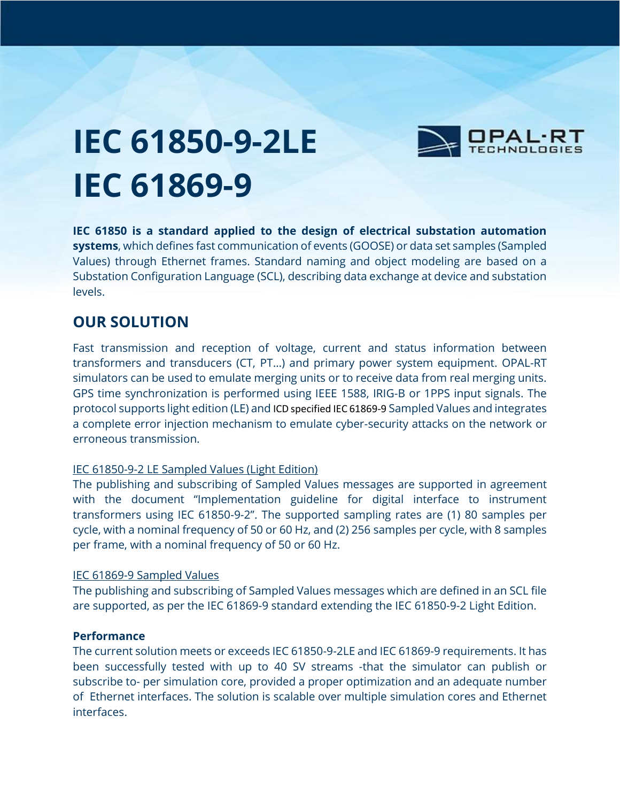

# **IEC 61850-9-2LE IEC 61869-9**

**IEC 61850 is a standard applied to the design of electrical substation automation systems**, which defines fast communication of events (GOOSE) or data set samples (Sampled Values) through Ethernet frames. Standard naming and object modeling are based on a Substation Configuration Language (SCL), describing data exchange at device and substation levels.

## **OUR SOLUTION**

Fast transmission and reception of voltage, current and status information between transformers and transducers (CT, PT…) and primary power system equipment. OPAL-RT simulators can be used to emulate merging units or to receive data from real merging units. GPS time synchronization is performed using IEEE 1588, IRIG-B or 1PPS input signals. The protocol supports light edition (LE) and ICD specified IEC 61869-9 Sampled Values and integrates a complete error injection mechanism to emulate cyber-security attacks on the network or erroneous transmission.

#### IEC 61850-9-2 LE Sampled Values (Light Edition)

The publishing and subscribing of Sampled Values messages are supported in agreement with the document "Implementation guideline for digital interface to instrument transformers using IEC 61850-9-2". The supported sampling rates are (1) 80 samples per cycle, with a nominal frequency of 50 or 60 Hz, and (2) 256 samples per cycle, with 8 samples per frame, with a nominal frequency of 50 or 60 Hz.

#### IEC 61869-9 Sampled Values

The publishing and subscribing of Sampled Values messages which are defined in an SCL file are supported, as per the IEC 61869-9 standard extending the IEC 61850-9-2 Light Edition.

#### **Performance**

The current solution meets or exceeds IEC 61850-9-2LE and IEC 61869-9 requirements. It has been successfully tested with up to 40 SV streams -that the simulator can publish or subscribe to- per simulation core, provided a proper optimization and an adequate number of Ethernet interfaces. The solution is scalable over multiple simulation cores and Ethernet interfaces.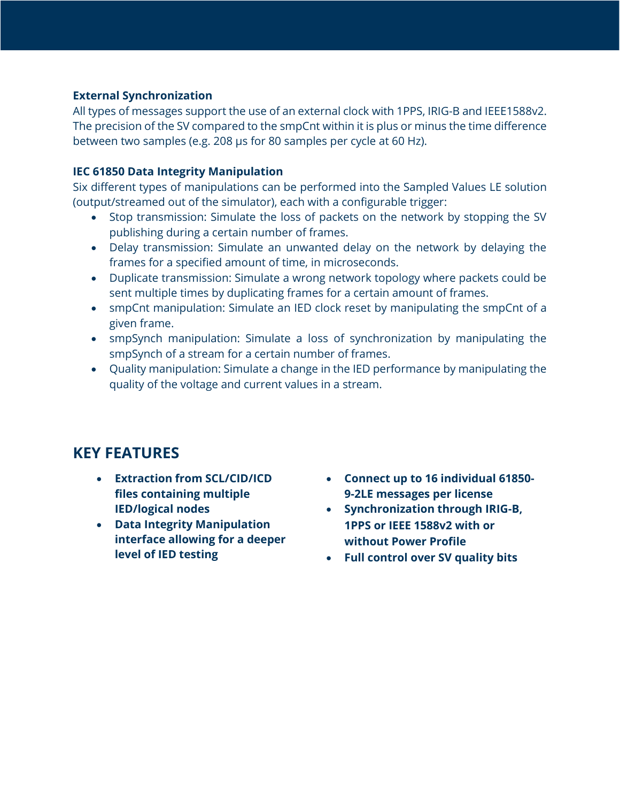#### **External Synchronization**

All types of messages support the use of an external clock with 1PPS, IRIG-B and IEEE1588v2. The precision of the SV compared to the smpCnt within it is plus or minus the time difference between two samples (e.g. 208 µs for 80 samples per cycle at 60 Hz).

#### **IEC 61850 Data Integrity Manipulation**

Six different types of manipulations can be performed into the Sampled Values LE solution (output/streamed out of the simulator), each with a configurable trigger:

- Stop transmission: Simulate the loss of packets on the network by stopping the SV publishing during a certain number of frames.
- Delay transmission: Simulate an unwanted delay on the network by delaying the frames for a specified amount of time, in microseconds.
- Duplicate transmission: Simulate a wrong network topology where packets could be sent multiple times by duplicating frames for a certain amount of frames.
- smpCnt manipulation: Simulate an IED clock reset by manipulating the smpCnt of a given frame.
- smpSynch manipulation: Simulate a loss of synchronization by manipulating the smpSynch of a stream for a certain number of frames.
- Quality manipulation: Simulate a change in the IED performance by manipulating the quality of the voltage and current values in a stream.

### **KEY FEATURES**

- **Extraction from SCL/CID/ICD files containing multiple IED/logical nodes**
- **Data Integrity Manipulation interface allowing for a deeper level of IED testing**
- **Connect up to 16 individual 61850- 9-2LE messages per license**
- **Synchronization through IRIG-B, 1PPS or IEEE 1588v2 with or without Power Profile**
- **Full control over SV quality bits**